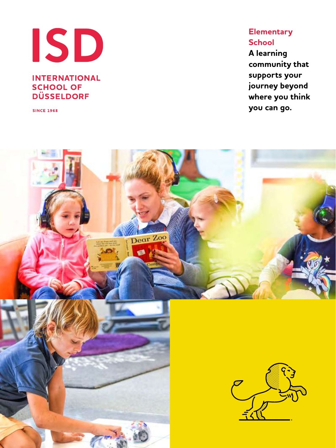

# **INTERNATIONAL SCHOOL OF DÜSSELDORF**

**SINCE 1968** 

# **Elementary School**

**A learning community that supports your journey beyond where you think you can go.**

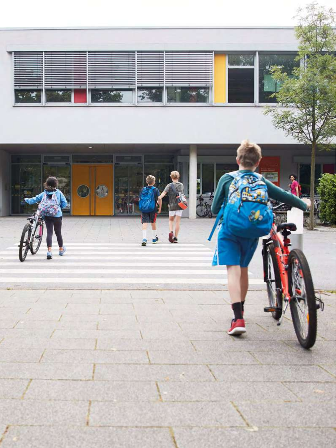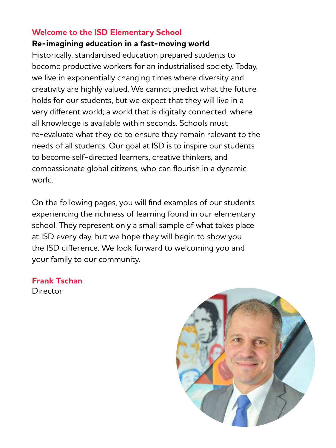# **Welcome to the ISD Elementary School**

# **Re-imagining education in a fast-moving world**

Historically, standardised education prepared students to become productive workers for an industrialised society. Today, we live in exponentially changing times where diversity and creativity are highly valued. We cannot predict what the future holds for our students, but we expect that they will live in a very different world; a world that is digitally connected, where all knowledge is available within seconds. Schools must re-evaluate what they do to ensure they remain relevant to the needs of all students. Our goal at ISD is to inspire our students to become self-directed learners, creative thinkers, and compassionate global citizens, who can flourish in a dynamic world.

On the following pages, you will find examples of our students experiencing the richness of learning found in our elementary school. They represent only a small sample of what takes place at ISD every day, but we hope they will begin to show you the ISD difference. We look forward to welcoming you and your family to our community.

# **Frank Tschan**

**Director** 

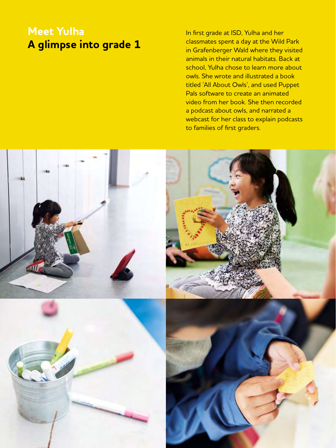# **Meet Yulha A glimpse into grade 1**

In first grade at ISD, Yulha and her classmates spent a day at the Wild Park in Grafenberger Wald where they visited animals in their natural habitats. Back at school, Yulha chose to learn more about owls. She wrote and illustrated a book titled 'All About Owls', and used Puppet Pals software to create an animated video from her book. She then recorded a podcast about owls, and narrated a webcast for her class to explain podcasts to families of first graders.

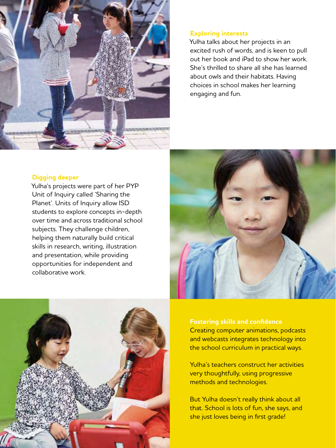

## **Exploring interests**

Yulha talks about her projects in an excited rush of words, and is keen to pull out her book and iPad to show her work. She's thrilled to share all she has learned about owls and their habitats. Having choices in school makes her learning engaging and fun.

## **Digging deeper**

Yulha's projects were part of her PYP Unit of Inquiry called 'Sharing the Planet'. Units of Inquiry allow ISD students to explore concepts in-depth over time and across traditional school subjects. They challenge children, helping them naturally build critical skills in research, writing, illustration and presentation, while providing opportunities for independent and collaborative work.





**Fostering skills and confidence** Creating computer animations, podcasts and webcasts integrates technology into the school curriculum in practical ways.

Yulha's teachers construct her activities very thoughtfully, using progressive methods and technologies.

But Yulha doesn't really think about all that. School is lots of fun, she says, and she just loves being in first grade!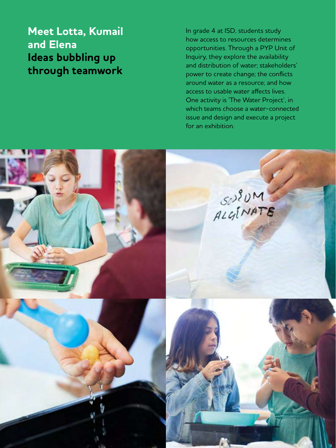**Meet Lotta, Kumail and Elena Ideas bubbling up through teamwork**

In grade 4 at ISD, students study how access to resources determines opportunities. Through a PYP Unit of Inquiry, they explore the availability and distribution of water; stakeholders' power to create change; the conflicts around water as a resource; and how access to usable water affects lives. One activity is 'The Water Project', in which teams choose a water-connected issue and design and execute a project for an exhibition.

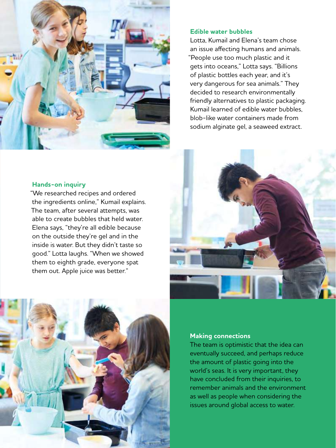

# **Edible water bubbles**

Lotta, Kumail and Elena's team chose an issue affecting humans and animals. "People use too much plastic and it gets into oceans," Lotta says. "Billions of plastic bottles each year, and it's very dangerous for sea animals." They decided to research environmentally friendly alternatives to plastic packaging. Kumail learned of edible water bubbles, blob-like water containers made from sodium alginate gel, a seaweed extract.

## **Hands-on inquiry**

"We researched recipes and ordered the ingredients online," Kumail explains. The team, after several attempts, was able to create bubbles that held water. Elena says, "they're all edible because on the outside they're gel and in the inside is water. But they didn't taste so good." Lotta laughs. "When we showed them to eighth grade, everyone spat them out. Apple juice was better."





#### **Making connections**

The team is optimistic that the idea can eventually succeed, and perhaps reduce the amount of plastic going into the world's seas. It is very important, they have concluded from their inquiries, to remember animals and the environment as well as people when considering the issues around global access to water.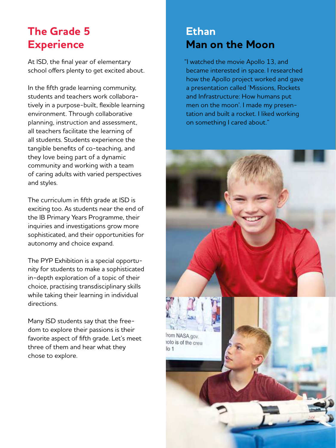# **The Grade 5 Experience**

At ISD, the final year of elementary school offers plenty to get excited about.

In the fifth grade learning community, students and teachers work collaboratively in a purpose-built, flexible learning environment. Through collaborative planning, instruction and assessment, all teachers facilitate the learning of all students. Students experience the tangible benefits of co-teaching, and they love being part of a dynamic community and working with a team of caring adults with varied perspectives and styles.

The curriculum in fifth grade at ISD is exciting too. As students near the end of the IB Primary Years Programme, their inquiries and investigations grow more sophisticated, and their opportunities for autonomy and choice expand.

The PYP Exhibition is a special opportunity for students to make a sophisticated in-depth exploration of a topic of their choice, practising transdisciplinary skills while taking their learning in individual directions.

Many ISD students say that the freedom to explore their passions is their favorite aspect of fifth grade. Let's meet three of them and hear what they chose to explore.

# **Ethan Man on the Moon**

"I watched the movie Apollo 13, and became interested in space. I researched how the Apollo project worked and gave a presentation called 'Missions, Rockets and Infrastructure: How humans put men on the moon'. I made my presentation and built a rocket. I liked working on something I cared about."

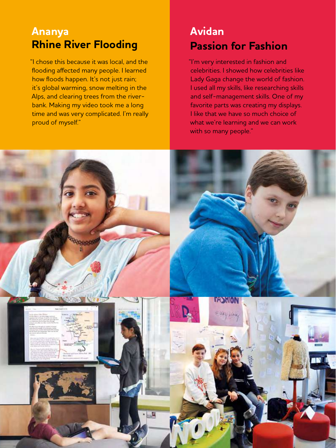# **Ananya Rhine River Flooding**

"I chose this because it was local, and the flooding affected many people. I learned how floods happen. It's not just rain; it's global warming, snow melting in the Alps, and clearing trees from the riverbank. Making my video took me a long time and was very complicated. I'm really proud of myself."

# **Avidan Passion for Fashion**

"I'm very interested in fashion and celebrities. I showed how celebrities like Lady Gaga change the world of fashion. I used all my skills, like researching skills and self-management skills. One of my favorite parts was creating my displays. I like that we have so much choice of what we're learning and we can work with so many people."

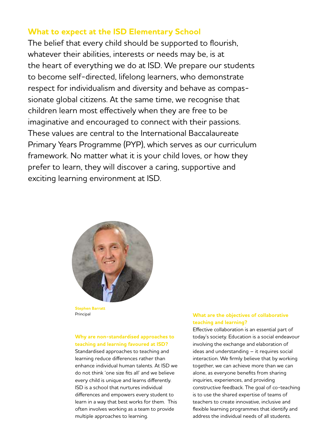# **What to expect at the ISD Elementary School**

The belief that every child should be supported to flourish, whatever their abilities, interests or needs may be, is at the heart of everything we do at ISD. We prepare our students to become self-directed, lifelong learners, who demonstrate respect for individualism and diversity and behave as compassionate global citizens. At the same time, we recognise that children learn most effectively when they are free to be imaginative and encouraged to connect with their passions. These values are central to the International Baccalaureate Primary Years Programme (PYP), which serves as our curriculum framework. No matter what it is your child loves, or how they prefer to learn, they will discover a caring, supportive and exciting learning environment at ISD.



**Stephen Barratt**  Principal

## **Why are non-standardised approaches to**

**teaching and learning favoured at ISD?**  Standardised approaches to teaching and learning reduce differences rather than enhance individual human talents. At ISD we do not think 'one size fits all' and we believe every child is unique and learns differently. ISD is a school that nurtures individual differences and empowers every student to learn in a way that best works for them. This often involves working as a team to provide multiple approaches to learning.

#### **What are the objectives of collaborative teaching and learning?**

Effective collaboration is an essential part of today's society. Education is a social endeavour involving the exchange and elaboration of ideas and understanding – it requires social interaction. We firmly believe that by working together, we can achieve more than we can alone, as everyone benefits from sharing inquiries, experiences, and providing constructive feedback. The goal of co-teaching is to use the shared expertise of teams of teachers to create innovative, inclusive and flexible learning programmes that identify and address the individual needs of all students.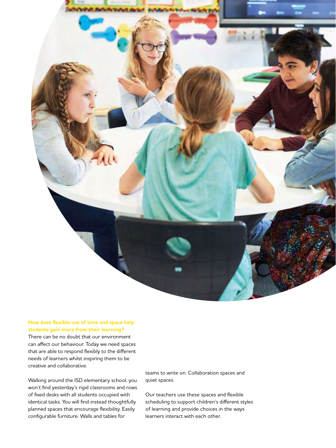

## **How does flexible use of time and space help students gain more from their learning?**

There can be no doubt that our environment can affect our behaviour. Today we need spaces that are able to respond flexibly to the different needs of learners whilst inspiring them to be creative and collaborative.

Walking around the ISD elementary school, you won't find yesterday's rigid classrooms and rows of fixed desks with all students occupied with identical tasks. You will find instead thoughtfully planned spaces that encourage flexibility. Easily configurable furniture. Walls and tables for

teams to write on. Collaboration spaces and quiet spaces.

Our teachers use these spaces and flexible scheduling to support children's different styles of learning and provide choices in the ways learners interact with each other.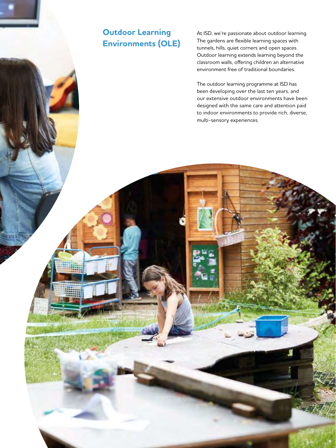# **Outdoor Learning Environments (OLE)**

At ISD, we're passionate about outdoor learning. The gardens are flexible learning spaces with tunnels, hills, quiet corners and open spaces. Outdoor learning extends learning beyond the classroom walls, offering children an alternative environment free of traditional boundaries.

The outdoor learning programme at ISD has been developing over the last ten years, and our extensive outdoor environments have been designed with the same care and attention paid to indoor environments to provide rich, diverse, multi-sensory experiences.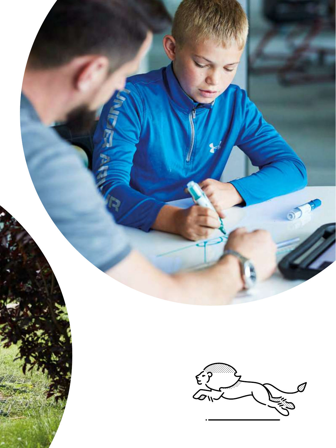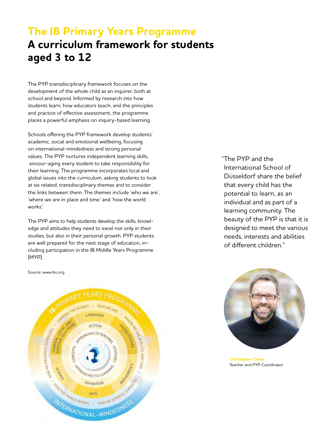# **The IB Primary Years Programme A curriculum framework for students aged 3 to 12**

The PYP transdisciplinary framework focuses on the development of the whole child as an inquirer, both at school and beyond. Informed by research into how students learn, how educators teach, and the principles and practice of effective assessment, the programme places a powerful emphasis on inquiry-based learning.

Schools offering the PYP framework develop students' academic, social and emotional wellbeing, focusing on international-mindedness and strong personal values. The PYP nurtures independent learning skills, encour-aging every student to take responsibility for their learning. The programme incorporates local and global issues into the curriculum, asking students to look at six related, transdisciplinary themes and to consider the links between them. The themes include 'who we are', 'where we are in place and time' and 'how the world works'.

The PYP aims to help students develop the skills, knowledge and attitudes they need to excel not only in their studies, but also in their personal growth. PYP students are well prepared for the next stage of education, including participation in the IB Middle Years Programme (MYP).

Source: www.ibo.org



"The PYP and the International School of Düsseldorf share the belief that every child has the potential to learn, as an individual and as part of a learning community. The beauty of the PYP is that it is designed to meet the various needs, interests and abilities of different children."



**Christopher Coker**  Teacher and PYP Coordinator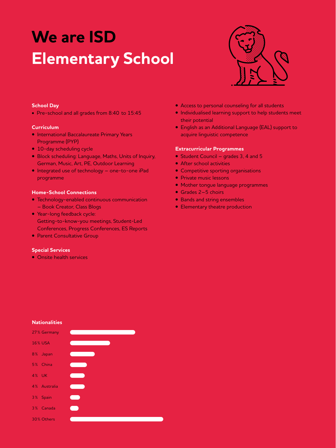# **We are ISD Elementary School**



### **School Day**

• Pre-school and all grades from 8:40 to 15:45

#### **Curriculum**

- International Baccalaureate Primary Years Programme (PYP)
- 10-day scheduling cycle
- Block scheduling: Language, Maths, Units of Inquiry, German, Music, Art, PE, Outdoor Learning
- Integrated use of technology one-to-one iPad programme

#### **Home-School Connections**

- Technology-enabled continuous communication – Book Creator, Class Blogs
- Year-long feedback cycle: Getting-to-know-you meetings, Student-Led Conferences, Progress Conferences, ES Reports
- Parent Consultative Group

#### **Special Services**

• Onsite health services

- Access to personal counseling for all students
- Individualised learning support to help students meet their potential
- English as an Additional Language (EAL) support to acquire linguistic competence

#### **Extracurricular Programmes**

- Student Council grades 3, 4 and 5
- After school activities
- Competitive sporting organisations
- Private music lessons
- Mother tongue language programmes
- Grades 2–5 choirs
- Bands and string ensembles
- Elementary theatre production

#### **Nationalities**